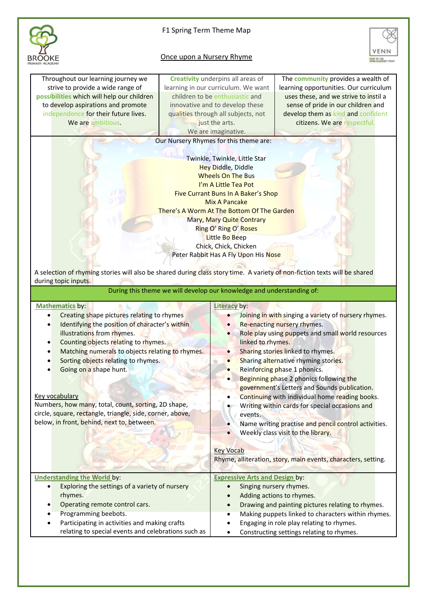

## F1 Spring Term Theme Map

## Once upon a Nursery Rhyme



Throughout our learning journey we strive to provide a wide range of **possibilities** which will help our children to develop aspirations and promote independence for their future lives. We are ambitious.

**Creativity** underpins all areas of learning in our curriculum. We want children to be enthusiastic and innovative and to develop these qualities through all subjects, not just the arts. We are imaginative.

Our Nursery Rhymes for this theme are:

Twinkle, Twinkle, Little Star Hey Diddle, Diddle Wheels On The Bus I'm A Little Tea Pot Five Currant Buns In A Baker's Shop Mix A Pancake There's A Worm At The Bottom Of The Garden Mary, Mary Quite Contrary Ring O' Ring O' Roses Little Bo Beep Chick, Chick, Chicken Peter Rabbit Has A Fly Upon His Nose

The **community** provides a wealth of learning opportunities. Our curriculum uses these, and we strive to instil a sense of pride in our children and develop them as kind and confident citizens. We are respectful.

A selection of rhyming stories will also be shared during class story time. A variety of non-fiction texts will be shared during topic inputs.

During this theme we will develop our knowledge and understanding of:

| <b>Mathematics by:</b>                                                                                                                                                                                                                                                                                                                                                                                                                                                                                       | Literacy by:                                                                                                                                                                                                                                                                                                                                                                                                                                                                                                                                                                                                                                        |
|--------------------------------------------------------------------------------------------------------------------------------------------------------------------------------------------------------------------------------------------------------------------------------------------------------------------------------------------------------------------------------------------------------------------------------------------------------------------------------------------------------------|-----------------------------------------------------------------------------------------------------------------------------------------------------------------------------------------------------------------------------------------------------------------------------------------------------------------------------------------------------------------------------------------------------------------------------------------------------------------------------------------------------------------------------------------------------------------------------------------------------------------------------------------------------|
| Creating shape pictures relating to rhymes<br>Identifying the position of character's within<br>$\bullet$<br>illustrations from rhymes.<br>Counting objects relating to rhymes.<br>$\bullet$<br>Matching numerals to objects relating to rhymes.<br>Sorting objects relating to rhymes.<br>Going on a shape hunt.<br><b>Key vocabulary</b><br>Numbers, how many, total, count, sorting, 2D shape,<br>circle, square, rectangle, triangle, side, corner, above,<br>below, in front, behind, next to, between. | Joining in with singing a variety of nursery rhymes.<br>$\bullet$<br>Re-enacting nursery rhymes.<br>$\bullet$<br>Role play using puppets and small world resources<br>$\bullet$<br>linked to rhymes.<br>Sharing stories linked to rhymes.<br>$\bullet$<br>Sharing alternative rhyming stories.<br>Reinforcing phase 1 phonics.<br>Beginning phase 2 phonics following the<br>$\bullet$<br>government's Letters and Sounds publication.<br>Continuing with individual home reading books.<br>Writing within cards for special occasions and<br>events.<br>Name writing practise and pencil control activities.<br>Weekly class visit to the library. |
|                                                                                                                                                                                                                                                                                                                                                                                                                                                                                                              | <b>Key Vocab</b><br>Rhyme, alliteration, story, main events, characters, setting.                                                                                                                                                                                                                                                                                                                                                                                                                                                                                                                                                                   |
| <b>Understanding the World by:</b>                                                                                                                                                                                                                                                                                                                                                                                                                                                                           | <b>Expressive Arts and Design by:</b>                                                                                                                                                                                                                                                                                                                                                                                                                                                                                                                                                                                                               |
| Exploring the settings of a variety of nursery<br>rhymes.<br>Operating remote control cars.<br>٠                                                                                                                                                                                                                                                                                                                                                                                                             | Singing nursery rhymes.<br>Adding actions to rhymes.<br>Drawing and painting pictures relating to rhymes.<br>$\bullet$                                                                                                                                                                                                                                                                                                                                                                                                                                                                                                                              |
| Programming beebots.                                                                                                                                                                                                                                                                                                                                                                                                                                                                                         | Making puppets linked to characters within rhymes.<br>٠                                                                                                                                                                                                                                                                                                                                                                                                                                                                                                                                                                                             |
| Participating in activities and making crafts<br>$\bullet$<br>relating to special events and celebrations such as                                                                                                                                                                                                                                                                                                                                                                                            | Engaging in role play relating to rhymes.<br>٠<br>Constructing settings relating to rhymes.<br>$\bullet$                                                                                                                                                                                                                                                                                                                                                                                                                                                                                                                                            |